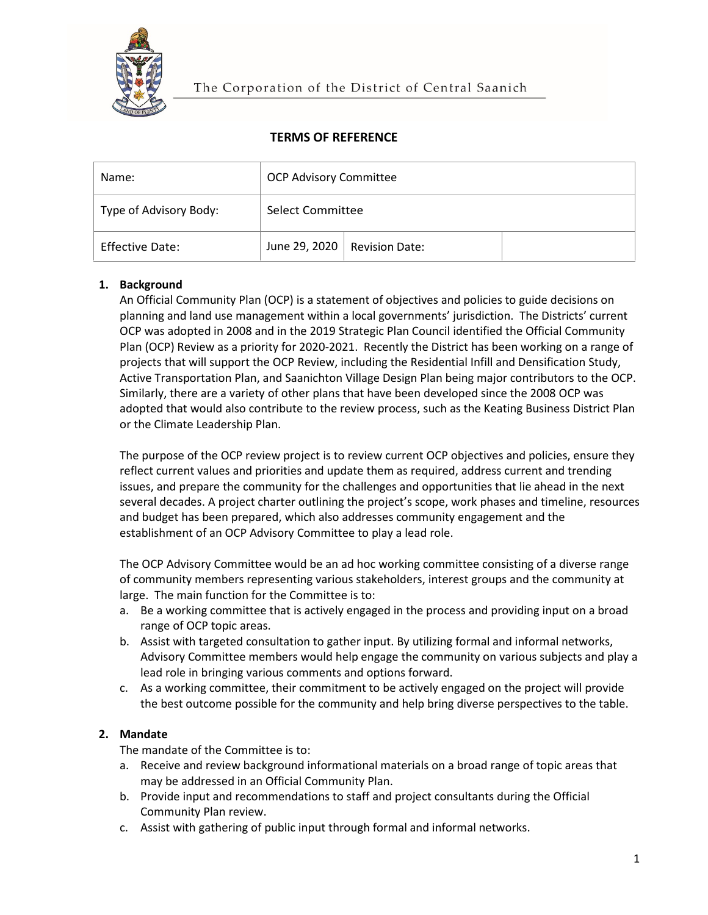

# **TERMS OF REFERENCE**

| Name:                  | <b>OCP Advisory Committee</b> |                                      |  |
|------------------------|-------------------------------|--------------------------------------|--|
| Type of Advisory Body: | Select Committee              |                                      |  |
| <b>Effective Date:</b> |                               | June 29, 2020 $\vert$ Revision Date: |  |

# **1. Background**

An Official Community Plan (OCP) is a statement of objectives and policies to guide decisions on planning and land use management within a local governments' jurisdiction. The Districts' current OCP was adopted in 2008 and in the 2019 Strategic Plan Council identified the Official Community Plan (OCP) Review as a priority for 2020-2021. Recently the District has been working on a range of projects that will support the OCP Review, including the Residential Infill and Densification Study, Active Transportation Plan, and Saanichton Village Design Plan being major contributors to the OCP. Similarly, there are a variety of other plans that have been developed since the 2008 OCP was adopted that would also contribute to the review process, such as the Keating Business District Plan or the Climate Leadership Plan.

The purpose of the OCP review project is to review current OCP objectives and policies, ensure they reflect current values and priorities and update them as required, address current and trending issues, and prepare the community for the challenges and opportunities that lie ahead in the next several decades. A project charter outlining the project's scope, work phases and timeline, resources and budget has been prepared, which also addresses community engagement and the establishment of an OCP Advisory Committee to play a lead role.

The OCP Advisory Committee would be an ad hoc working committee consisting of a diverse range of community members representing various stakeholders, interest groups and the community at large. The main function for the Committee is to:

- a. Be a working committee that is actively engaged in the process and providing input on a broad range of OCP topic areas.
- b. Assist with targeted consultation to gather input. By utilizing formal and informal networks, Advisory Committee members would help engage the community on various subjects and play a lead role in bringing various comments and options forward.
- c. As a working committee, their commitment to be actively engaged on the project will provide the best outcome possible for the community and help bring diverse perspectives to the table.

## **2. Mandate**

The mandate of the Committee is to:

- a. Receive and review background informational materials on a broad range of topic areas that may be addressed in an Official Community Plan.
- b. Provide input and recommendations to staff and project consultants during the Official Community Plan review.
- c. Assist with gathering of public input through formal and informal networks.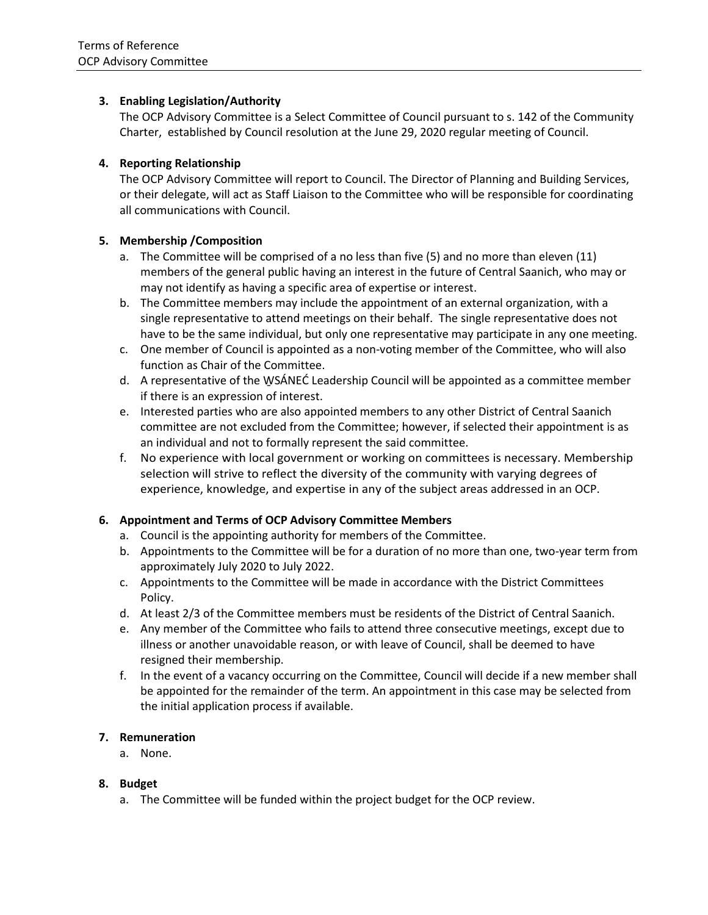## **3. Enabling Legislation/Authority**

The OCP Advisory Committee is a Select Committee of Council pursuant to s. 142 of the Community Charter, established by Council resolution at the June 29, 2020 regular meeting of Council.

### **4. Reporting Relationship**

The OCP Advisory Committee will report to Council. The Director of Planning and Building Services, or their delegate, will act as Staff Liaison to the Committee who will be responsible for coordinating all communications with Council.

### **5. Membership /Composition**

- a. The Committee will be comprised of a no less than five (5) and no more than eleven (11) members of the general public having an interest in the future of Central Saanich, who may or may not identify as having a specific area of expertise or interest.
- b. The Committee members may include the appointment of an external organization, with a single representative to attend meetings on their behalf. The single representative does not have to be the same individual, but only one representative may participate in any one meeting.
- c. One member of Council is appointed as a non-voting member of the Committee, who will also function as Chair of the Committee.
- d. A representative of the W̱SÁNEĆ Leadership Council will be appointed as a committee member if there is an expression of interest.
- e. Interested parties who are also appointed members to any other District of Central Saanich committee are not excluded from the Committee; however, if selected their appointment is as an individual and not to formally represent the said committee.
- f. No experience with local government or working on committees is necessary. Membership selection will strive to reflect the diversity of the community with varying degrees of experience, knowledge, and expertise in any of the subject areas addressed in an OCP.

## **6. Appointment and Terms of OCP Advisory Committee Members**

- a. Council is the appointing authority for members of the Committee.
- b. Appointments to the Committee will be for a duration of no more than one, two-year term from approximately July 2020 to July 2022.
- c. Appointments to the Committee will be made in accordance with the District Committees Policy.
- d. At least 2/3 of the Committee members must be residents of the District of Central Saanich.
- e. Any member of the Committee who fails to attend three consecutive meetings, except due to illness or another unavoidable reason, or with leave of Council, shall be deemed to have resigned their membership.
- f. In the event of a vacancy occurring on the Committee, Council will decide if a new member shall be appointed for the remainder of the term. An appointment in this case may be selected from the initial application process if available.

#### **7. Remuneration**

a. None.

#### **8. Budget**

a. The Committee will be funded within the project budget for the OCP review.